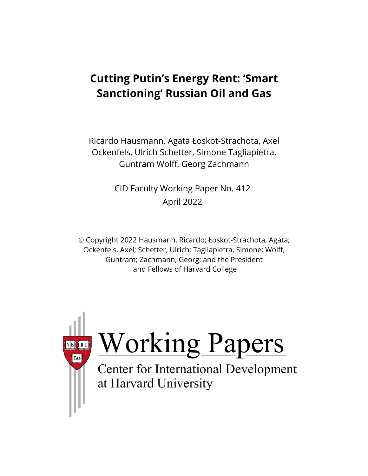# **Cutting Putin's Energy Rent: 'Smart Sanctioning' Russian Oil and Gas**

Ricardo Hausmann, Agata Łoskot-Strachota, Axel Ockenfels, Ulrich Schetter, Simone Tagliapietra, Guntram Wolff, Georg Zachmann

> CID Faculty Working Paper No. 412 April 2022

 Copyright 2022 Hausmann, Ricardo; Łoskot-Strachota, Agata; Ockenfels, Axel; Schetter, Ulrich; Tagliapietra, Simone; Wolff, Guntram; Zachmann, Georg; and the President and Fellows of Harvard College

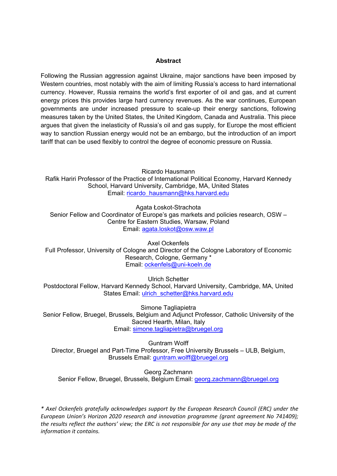#### **Abstract**

Following the Russian aggression against Ukraine, major sanctions have been imposed by Western countries, most notably with the aim of limiting Russia's access to hard international currency. However, Russia remains the world's first exporter of oil and gas, and at current energy prices this provides large hard currency revenues. As the war continues, European governments are under increased pressure to scale-up their energy sanctions, following measures taken by the United States, the United Kingdom, Canada and Australia. This piece argues that given the inelasticity of Russia's oil and gas supply, for Europe the most efficient way to sanction Russian energy would not be an embargo, but the introduction of an import tariff that can be used flexibly to control the degree of economic pressure on Russia.

Ricardo Hausmann Rafik Hariri Professor of the Practice of International Political Economy, Harvard Kennedy School, Harvard University, Cambridge, MA, United States Email: [ricardo\\_hausmann@hks.harvard.edu](mailto:ricardo_hausmann@hks.harvard.edu)

Agata Łoskot-Strachota Senior Fellow and Coordinator of Europe's gas markets and policies research, OSW – Centre for Eastern Studies, Warsaw, Poland Email: [agata.loskot@osw.waw.pl](mailto:agata.loskot@osw.waw.pl)

Axel Ockenfels Full Professor, University of Cologne and Director of the Cologne Laboratory of Economic Research, Cologne, Germany \* Email: [ockenfels@uni](mailto:ockenfels@uni-koeln.de)-koeln.de

Ulrich Schetter Postdoctoral Fellow, Harvard Kennedy School, Harvard University, Cambridge, MA, United States Email: [ulrich\\_schetter@hks.harvard.edu](mailto:ulrich_schetter@hks.harvard.edu)

Simone Tagliapietra Senior Fellow, Bruegel, Brussels, Belgium and Adjunct Professor, Catholic University of the Sacred Hearth, Milan, Italy Email: [simone.tagliapietra@bruegel.org](mailto:simone.tagliapietra@bruegel.org)

Guntram Wolff Director, Bruegel and Part-Time Professor, Free University Brussels – ULB, Belgium, Brussels Email: [guntram.wolff@bruegel.org](mailto:guntram.wolff@bruegel.org)

Georg Zachmann Senior Fellow, Bruegel, Brussels, Belgium Email: [georg.zachmann@bruegel.org](mailto:georg.zachmann@bruegel.org)

*\* Axel Ockenfels gratefully acknowledges support by the European Research Council (ERC) under the European Union's Horizon 2020 research and innovation programme (grant agreement No 741409); the results reflect the authors' view; the ERC is not responsible for any use that may be made of the information it contains.*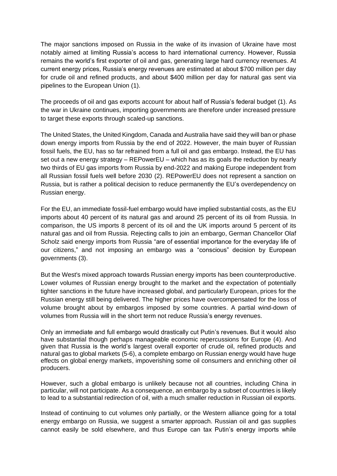The major sanctions imposed on Russia in the wake of its invasion of Ukraine have most notably aimed at limiting Russia's access to hard international currency. However, Russia remains the world's first exporter of oil and gas, generating large hard currency revenues. At current energy prices, Russia's energy revenues are estimated at about \$700 million per day for crude oil and refined products, and about \$400 million per day for natural gas sent via pipelines to the European Union (1).

The proceeds of oil and gas exports account for about half of Russia's federal budget (1). As the war in Ukraine continues, importing governments are therefore under increased pressure to target these exports through scaled-up sanctions.

The United States, the United Kingdom, Canada and Australia have said they will ban or phase down energy imports from Russia by the end of 2022. However, the main buyer of Russian fossil fuels, the EU, has so far refrained from a full oil and gas embargo. Instead, the EU has set out a new energy strategy – REPowerEU – which has as its goals the reduction by nearly two thirds of EU gas imports from Russia by end-2022 and making Europe independent from all Russian fossil fuels well before 2030 (2). REPowerEU does not represent a sanction on Russia, but is rather a political decision to reduce permanently the EU's overdependency on Russian energy.

For the EU, an immediate fossil-fuel embargo would have implied substantial costs, as the EU imports about 40 percent of its natural gas and around 25 percent of its oil from Russia. In comparison, the US imports 8 percent of its oil and the UK imports around 5 percent of its natural gas and oil from Russia. Rejecting calls to join an embargo, German Chancellor Olaf Scholz said energy imports from Russia "are of essential importance for the everyday life of our citizens," and not imposing an embargo was a "conscious" decision by European governments (3).

But the West's mixed approach towards Russian energy imports has been counterproductive. Lower volumes of Russian energy brought to the market and the expectation of potentially tighter sanctions in the future have increased global, and particularly European, prices for the Russian energy still being delivered. The higher prices have overcompensated for the loss of volume brought about by embargos imposed by some countries. A partial wind-down of volumes from Russia will in the short term not reduce Russia's energy revenues.

Only an immediate and full embargo would drastically cut Putin's revenues. But it would also have substantial though [perhaps](https://www.econtribute.de/RePEc/ajk/ajkpbs/ECONtribute_PB_028_2022.pdf) [manageable economic repercussions](https://www.econtribute.de/RePEc/ajk/ajkpbs/ECONtribute_PB_028_2022.pdf) for Europe (4). And given that Russia is the world's largest overall exporter of crude oil, refined products and natural gas to global markets (5-6), a complete embargo on Russian energy would have huge effects on global energy markets, impoverishing some oil consumers and enriching other oil producers.

However, such a global embargo is unlikely because not all countries, including China in particular, will not participate. As a consequence, an embargo by a subset of countries is likely to lead to a substantial redirection of oil, with a much smaller reduction in Russian oil exports.

Instead of continuing to cut volumes only partially, or the Western alliance going for a total energy embargo on Russia, we suggest a smarter approach. Russian oil and gas supplies cannot easily be sold elsewhere, and thus Europe can tax Putin's energy imports while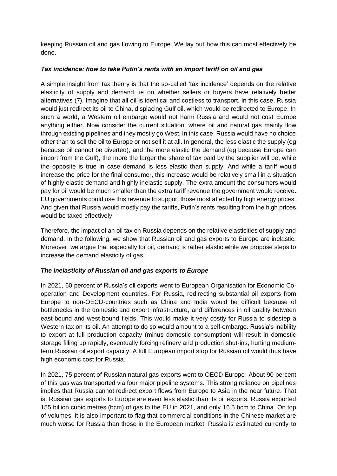keeping Russian oil and gas flowing to Europe. We lay out how this can most effectively be done.

# *Tax incidence: how to take Putin's rents with an import tariff on oil and gas*

A simple insight from tax theory is that the so-called 'tax incidence' depends on the relative elasticity of supply and demand, ie on whether sellers or buyers have relatively better alternatives (7). Imagine that all oil is identical and costless to transport. In this case, Russia would just redirect its oil to China, displacing Gulf oil, which would be redirected to Europe. In such a world, a Western oil embargo would not harm Russia and would not cost Europe anything either. Now consider the current situation, where oil and natural gas mainly flow through existing pipelines and they mostly go West. In this case, Russia would have no choice other than to sell the oil to Europe or not sell it at all. In general, the less elastic the supply (eg because oil cannot be diverted), and the more elastic the demand (eg because Europe can import from the Gulf), the more the larger the share of tax paid by the supplier will be, while the opposite is true in case demand is less elastic than supply. And while a tariff would increase the price for the final consumer, this increase would be relatively small in a situation of highly elastic demand and highly inelastic supply. The extra amount the consumers would pay for oil would be much smaller than the extra tariff revenue the government would receive. EU governments could use this revenue to support those most affected by high energy prices. And given that Russia would mostly pay the tariffs, Putin's rents resulting from the high prices would be taxed effectively.

Therefore, the impact of an oil tax on Russia depends on the relative elasticities of supply and demand. In the following, we show that Russian oil and gas exports to Europe are inelastic. Moreover, we argue that especially for oil, demand is rather elastic while we propose steps to increase the demand elasticity of gas.

# *The inelasticity of Russian oil and gas exports to Europe*

In 2021, 60 percent of Russia's oil exports went to European Organisation for Economic Cooperation and Development countries. For Russia, redirecting substantial oil exports from Europe to non-OECD-countries such as China and India would be difficult because of bottlenecks in the domestic and export infrastructure, and differences in oil quality between east-bound and west-bound fields. This would make it very costly for Russia to sidestep a Western tax on its oil. An attempt to do so would amount to a self-embargo. Russia's inability to export at full production capacity (minus domestic consumption) will result in domestic storage filling up rapidly, eventually forcing refinery and production shut-ins, hurting mediumterm Russian oil export capacity. A full European import stop for Russian oil would thus have high economic cost for Russia.

In 2021, 75 percent of Russian natural gas exports went to OECD Europe. About 90 percent of this gas was transported via four major pipeline systems. This strong reliance on pipelines implies that Russia cannot redirect export flows from Europe to Asia in the near future. That is, Russian gas exports to Europe are even less elastic than its oil exports. Russia exported 155 billion cubic metres (bcm) of gas to the EU in 2021, and only 16.5 bcm to China. On top of volumes, it is also important to flag that commercial conditions in the Chinese market are much worse for Russia than those in the European market. Russia is estimated currently to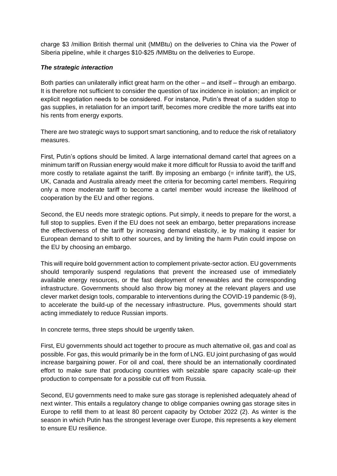charge \$3 /million British thermal unit (MMBtu) on the deliveries to China via the Power of Siberia pipeline, while it charges \$10-\$25 /MMBtu on the deliveries to Europe.

### *The strategic interaction*

Both parties can unilaterally inflict great harm on the other – and itself – through an embargo. It is therefore not sufficient to consider the question of tax incidence in isolation; an implicit or explicit negotiation needs to be considered. For instance, Putin's threat of a sudden stop to gas supplies, in retaliation for an import tariff, becomes more credible the more tariffs eat into his rents from energy exports.

There are two strategic ways to support smart sanctioning, and to reduce the risk of retaliatory measures.

First, Putin's options should be limited. A large international demand cartel that agrees on a minimum tariff on Russian energy would make it more difficult for Russia to avoid the tariff and more costly to retaliate against the tariff. By imposing an embargo  $(=$  infinite tariff), the US, UK, Canada and Australia already meet the criteria for becoming cartel members. Requiring only a more moderate tariff to become a cartel member would increase the likelihood of cooperation by the EU and other regions.

Second, the EU needs more strategic options. Put simply, it needs to prepare for the worst, a full stop to supplies. Even if the EU does not seek an embargo, better preparations increase the effectiveness of the tariff by increasing demand elasticity, ie by making it easier for European demand to shift to other sources, and by limiting the harm Putin could impose on the EU by choosing an embargo.

This will require bold government action to complement private-sector action. EU governments should temporarily suspend regulations that prevent the increased use of immediately available energy resources, or the fast deployment of renewables and the corresponding infrastructure. Governments should also throw big money at the relevant players and use clever market design tools, comparable to interventions during the COVID-19 pandemic (8-9), to accelerate the build-up of the necessary infrastructure. Plus, governments should start acting immediately to reduce Russian imports.

In concrete terms, three steps should be urgently taken.

First, EU governments should act together to procure as much alternative oil, gas and coal as possible. For gas, this would primarily be in the form of LNG. EU joint purchasing of gas would increase bargaining power. For oil and coal, there should be an internationally coordinated effort to make sure that producing countries with seizable spare capacity scale-up their production to compensate for a possible cut off from Russia.

Second, EU governments need to make sure gas storage is replenished adequately ahead of next winter. This entails a regulatory change to oblige companies owning gas storage sites in Europe to refill them to at least 80 percent capacity by October 2022 (2). As winter is the season in which Putin has the strongest leverage over Europe, this represents a key element to ensure EU resilience.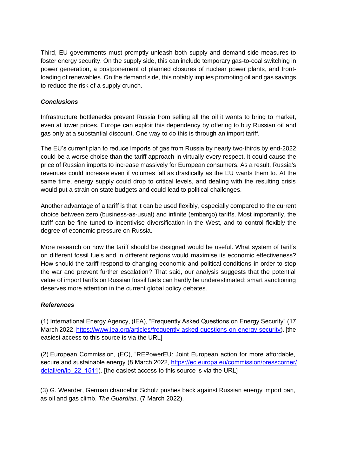Third, EU governments must promptly unleash both supply and demand-side measures to foster energy security. On the supply side, this can include temporary gas-to-coal switching in power generation, a postponement of planned closures of nuclear power plants, and frontloading of renewables. On the demand side, this notably implies promoting oil and gas savings to reduce the risk of a supply crunch.

## *Conclusions*

Infrastructure bottlenecks prevent Russia from selling all the oil it wants to bring to market, even at lower prices. Europe can exploit this dependency by offering to buy Russian oil and gas only at a substantial discount. One way to do this is through an import tariff.

The EU's current plan to reduce imports of gas from Russia by nearly two-thirds by end-2022 could be a worse choise than the tariff approach in virtually every respect. It could cause the price of Russian imports to increase massively for European consumers. As a result, Russia's revenues could increase even if volumes fall as drastically as the EU wants them to. At the same time, energy supply could drop to critical levels, and dealing with the resulting crisis would put a strain on state budgets and could lead to political challenges.

Another advantage of a tariff is that it can be used flexibly, especially compared to the current choice between zero (business-as-usual) and infinite (embargo) tariffs. Most importantly, the tariff can be fine tuned to incentivise diversification in the West, and to control flexibly the degree of economic pressure on Russia.

More research on how the tariff should be designed would be useful. What system of tariffs on different fossil fuels and in different regions would maximise its economic effectiveness? How should the tariff respond to changing economic and political conditions in order to stop the war and prevent further escalation? That said, our analysis suggests that the potential value of import tariffs on Russian fossil fuels can hardly be underestimated: smart sanctioning deserves more attention in the current global policy debates.

#### *References*

(1) International Energy Agency, (IEA), "Frequently Asked Questions on Energy Security" (17 March 2022, [https://www.iea.org/articles/frequently-asked-questions-on-energy-security\).](https://www.iea.org/articles/frequently-asked-questions-on-energy-security) [the easiest access to this source is via the URL]

(2) European Commission, (EC), "REPowerEU: Joint European action for more affordable, secure and sustainable energy"(8 March 2022, https://ec.europa.eu/commission/presscorner/ detail/en/ip\_22\_1511). [\[the easiest access to this source is via the URL\]](https://ec.europa.eu/commission/presscorner/detail/en/ip_22_1511)

(3) G. Wearder, German chancellor Scholz pushes back against Russian energy import ban, as oil and gas climb. *The Guardian,* (7 March 2022).